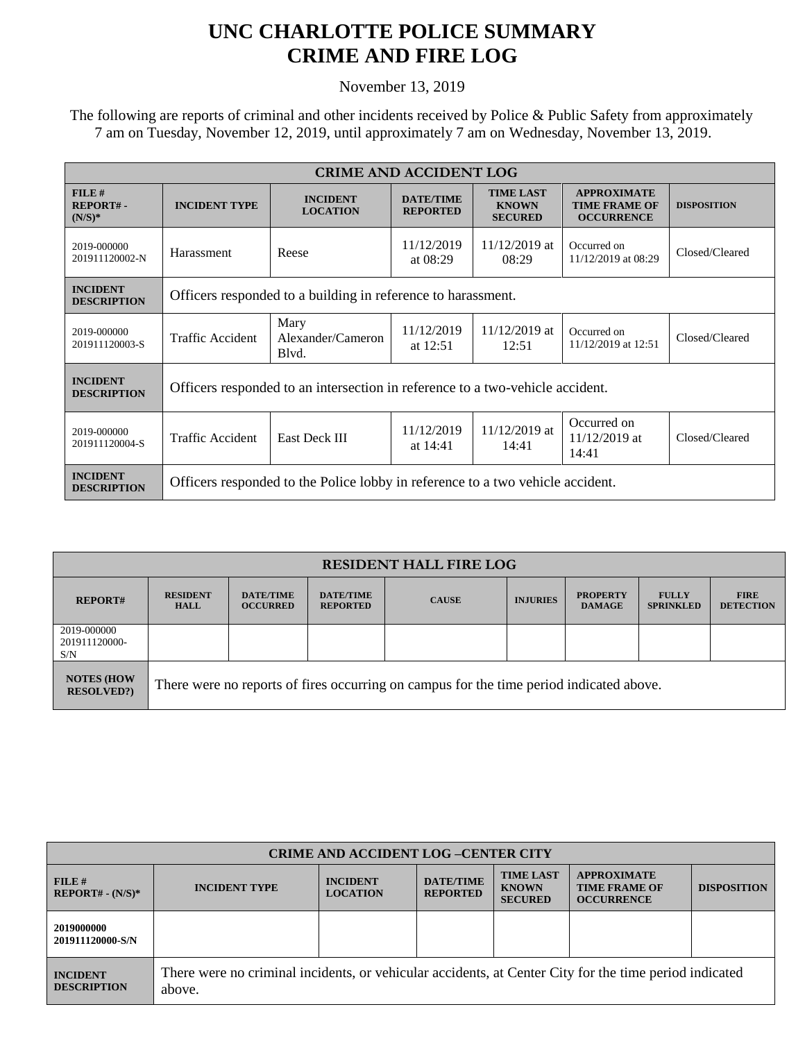## **UNC CHARLOTTE POLICE SUMMARY CRIME AND FIRE LOG**

November 13, 2019

 The following are reports of criminal and other incidents received by Police & Public Safety from approximately 7 am on Tuesday, November 12, 2019, until approximately 7 am on Wednesday, November 13, 2019.

| <b>CRIME AND ACCIDENT LOG</b>           |                                                                                |                                    |                                     |                                                    |                                                                 |                    |  |
|-----------------------------------------|--------------------------------------------------------------------------------|------------------------------------|-------------------------------------|----------------------------------------------------|-----------------------------------------------------------------|--------------------|--|
| $FILE$ #<br><b>REPORT#-</b><br>$(N/S)*$ | <b>INCIDENT TYPE</b>                                                           | <b>INCIDENT</b><br><b>LOCATION</b> | <b>DATE/TIME</b><br><b>REPORTED</b> | <b>TIME LAST</b><br><b>KNOWN</b><br><b>SECURED</b> | <b>APPROXIMATE</b><br><b>TIME FRAME OF</b><br><b>OCCURRENCE</b> | <b>DISPOSITION</b> |  |
| 2019-000000<br>201911120002-N           | Harassment                                                                     | Reese                              | 11/12/2019<br>at $08:29$            | $11/12/2019$ at<br>08:29                           | Occurred on<br>11/12/2019 at 08:29                              | Closed/Cleared     |  |
| <b>INCIDENT</b><br><b>DESCRIPTION</b>   | Officers responded to a building in reference to harassment.                   |                                    |                                     |                                                    |                                                                 |                    |  |
| 2019-000000<br>201911120003-S           | Traffic Accident                                                               | Mary<br>Alexander/Cameron<br>Blyd. | 11/12/2019<br>at 12:51              | $11/12/2019$ at<br>12:51                           | Occurred on<br>11/12/2019 at 12:51                              | Closed/Cleared     |  |
| <b>INCIDENT</b><br><b>DESCRIPTION</b>   | Officers responded to an intersection in reference to a two-vehicle accident.  |                                    |                                     |                                                    |                                                                 |                    |  |
| 2019-000000<br>201911120004-S           | <b>Traffic Accident</b>                                                        | East Deck III                      | 11/12/2019<br>at 14:41              | 11/12/2019 at<br>14:41                             | Occurred on<br>$11/12/2019$ at<br>14:41                         | Closed/Cleared     |  |
| <b>INCIDENT</b><br><b>DESCRIPTION</b>   | Officers responded to the Police lobby in reference to a two vehicle accident. |                                    |                                     |                                                    |                                                                 |                    |  |

| <b>RESIDENT HALL FIRE LOG</b>         |                                                                                         |                                     |                                     |              |                 |                                  |                                  |                                 |
|---------------------------------------|-----------------------------------------------------------------------------------------|-------------------------------------|-------------------------------------|--------------|-----------------|----------------------------------|----------------------------------|---------------------------------|
| <b>REPORT#</b>                        | <b>RESIDENT</b><br><b>HALL</b>                                                          | <b>DATE/TIME</b><br><b>OCCURRED</b> | <b>DATE/TIME</b><br><b>REPORTED</b> | <b>CAUSE</b> | <b>INJURIES</b> | <b>PROPERTY</b><br><b>DAMAGE</b> | <b>FULLY</b><br><b>SPRINKLED</b> | <b>FIRE</b><br><b>DETECTION</b> |
| 2019-000000<br>201911120000-<br>S/N   |                                                                                         |                                     |                                     |              |                 |                                  |                                  |                                 |
| <b>NOTES (HOW</b><br><b>RESOLVED?</b> | There were no reports of fires occurring on campus for the time period indicated above. |                                     |                                     |              |                 |                                  |                                  |                                 |

| <b>CRIME AND ACCIDENT LOG-CENTER CITY</b> |                                                                                                                  |                                    |                                     |                                                    |                                                                 |                    |  |
|-------------------------------------------|------------------------------------------------------------------------------------------------------------------|------------------------------------|-------------------------------------|----------------------------------------------------|-----------------------------------------------------------------|--------------------|--|
| FILE#<br>$REPORT# - (N/S)*$               | <b>INCIDENT TYPE</b>                                                                                             | <b>INCIDENT</b><br><b>LOCATION</b> | <b>DATE/TIME</b><br><b>REPORTED</b> | <b>TIME LAST</b><br><b>KNOWN</b><br><b>SECURED</b> | <b>APPROXIMATE</b><br><b>TIME FRAME OF</b><br><b>OCCURRENCE</b> | <b>DISPOSITION</b> |  |
| 2019000000<br>201911120000-S/N            |                                                                                                                  |                                    |                                     |                                                    |                                                                 |                    |  |
| <b>INCIDENT</b><br><b>DESCRIPTION</b>     | There were no criminal incidents, or vehicular accidents, at Center City for the time period indicated<br>above. |                                    |                                     |                                                    |                                                                 |                    |  |